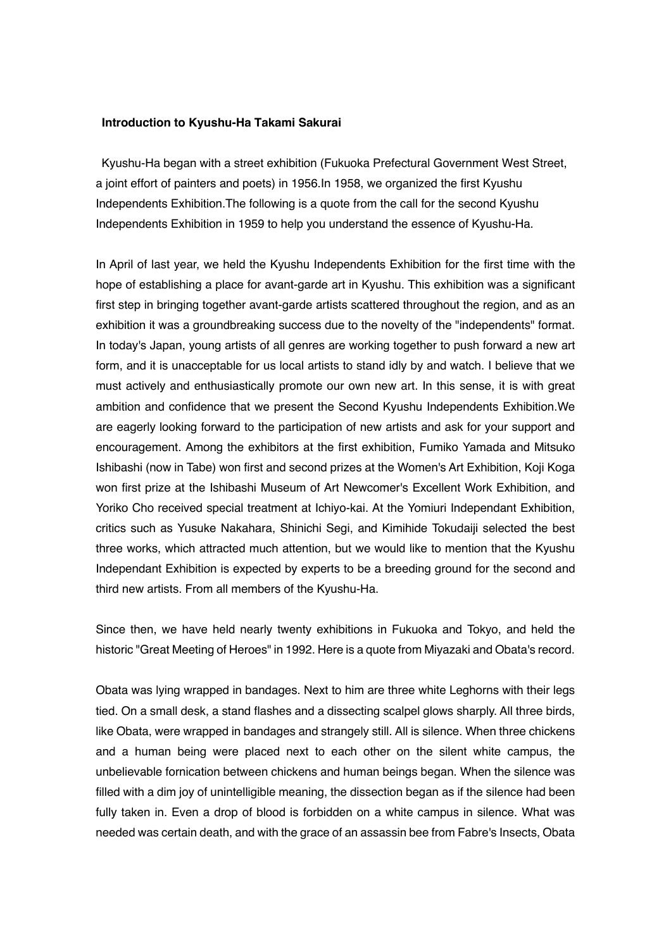## **Introduction to Kyushu-Ha Takami Sakurai**

Kyushu-Ha began with a street exhibition (Fukuoka Prefectural Government West Street, a joint effort of painters and poets) in 1956.In 1958, we organized the first Kyushu Independents Exhibition.The following is a quote from the call for the second Kyushu Independents Exhibition in 1959 to help you understand the essence of Kyushu-Ha.

In April of last year, we held the Kyushu Independents Exhibition for the first time with the hope of establishing a place for avant-garde art in Kyushu. This exhibition was a significant first step in bringing together avant-garde artists scattered throughout the region, and as an exhibition it was a groundbreaking success due to the novelty of the "independents" format. In today's Japan, young artists of all genres are working together to push forward a new art form, and it is unacceptable for us local artists to stand idly by and watch. I believe that we must actively and enthusiastically promote our own new art. In this sense, it is with great ambition and confidence that we present the Second Kyushu Independents Exhibition.We are eagerly looking forward to the participation of new artists and ask for your support and encouragement. Among the exhibitors at the first exhibition, Fumiko Yamada and Mitsuko Ishibashi (now in Tabe) won first and second prizes at the Women's Art Exhibition, Koji Koga won first prize at the Ishibashi Museum of Art Newcomer's Excellent Work Exhibition, and Yoriko Cho received special treatment at Ichiyo-kai. At the Yomiuri Independant Exhibition, critics such as Yusuke Nakahara, Shinichi Segi, and Kimihide Tokudaiji selected the best three works, which attracted much attention, but we would like to mention that the Kyushu Independant Exhibition is expected by experts to be a breeding ground for the second and third new artists. From all members of the Kyushu-Ha.

Since then, we have held nearly twenty exhibitions in Fukuoka and Tokyo, and held the historic "Great Meeting of Heroes" in 1992. Here is a quote from Miyazaki and Obata's record.

Obata was lying wrapped in bandages. Next to him are three white Leghorns with their legs tied. On a small desk, a stand flashes and a dissecting scalpel glows sharply. All three birds, like Obata, were wrapped in bandages and strangely still. All is silence. When three chickens and a human being were placed next to each other on the silent white campus, the unbelievable fornication between chickens and human beings began. When the silence was filled with a dim joy of unintelligible meaning, the dissection began as if the silence had been fully taken in. Even a drop of blood is forbidden on a white campus in silence. What was needed was certain death, and with the grace of an assassin bee from Fabre's Insects, Obata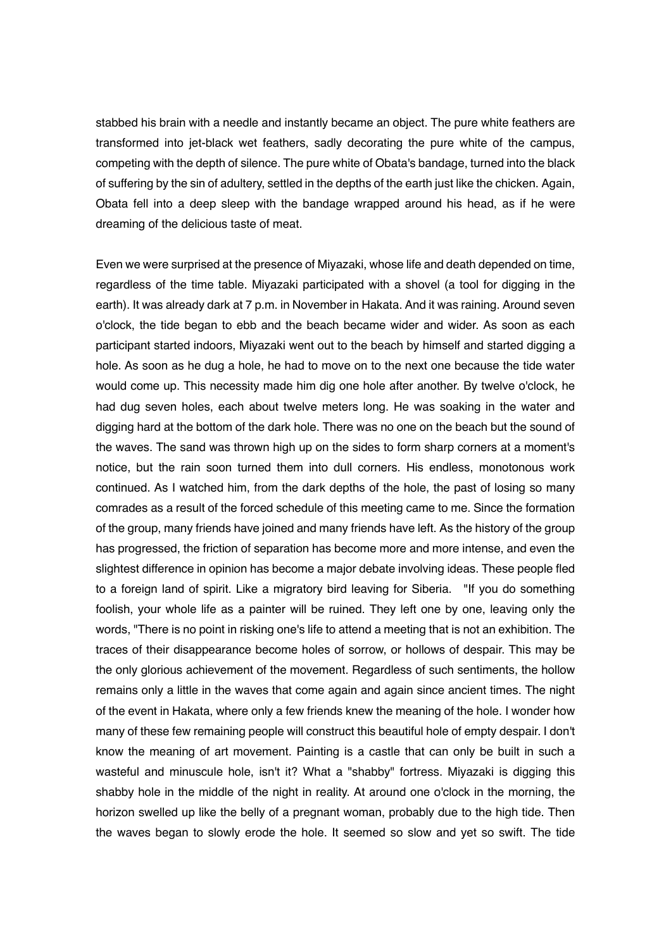stabbed his brain with a needle and instantly became an object. The pure white feathers are transformed into jet-black wet feathers, sadly decorating the pure white of the campus, competing with the depth of silence. The pure white of Obata's bandage, turned into the black of suffering by the sin of adultery, settled in the depths of the earth just like the chicken. Again, Obata fell into a deep sleep with the bandage wrapped around his head, as if he were dreaming of the delicious taste of meat.

Even we were surprised at the presence of Miyazaki, whose life and death depended on time, regardless of the time table. Miyazaki participated with a shovel (a tool for digging in the earth). It was already dark at 7 p.m. in November in Hakata. And it was raining. Around seven o'clock, the tide began to ebb and the beach became wider and wider. As soon as each participant started indoors, Miyazaki went out to the beach by himself and started digging a hole. As soon as he dug a hole, he had to move on to the next one because the tide water would come up. This necessity made him dig one hole after another. By twelve o'clock, he had dug seven holes, each about twelve meters long. He was soaking in the water and digging hard at the bottom of the dark hole. There was no one on the beach but the sound of the waves. The sand was thrown high up on the sides to form sharp corners at a moment's notice, but the rain soon turned them into dull corners. His endless, monotonous work continued. As I watched him, from the dark depths of the hole, the past of losing so many comrades as a result of the forced schedule of this meeting came to me. Since the formation of the group, many friends have joined and many friends have left. As the history of the group has progressed, the friction of separation has become more and more intense, and even the slightest difference in opinion has become a major debate involving ideas. These people fled to a foreign land of spirit. Like a migratory bird leaving for Siberia. "If you do something foolish, your whole life as a painter will be ruined. They left one by one, leaving only the words, "There is no point in risking one's life to attend a meeting that is not an exhibition. The traces of their disappearance become holes of sorrow, or hollows of despair. This may be the only glorious achievement of the movement. Regardless of such sentiments, the hollow remains only a little in the waves that come again and again since ancient times. The night of the event in Hakata, where only a few friends knew the meaning of the hole. I wonder how many of these few remaining people will construct this beautiful hole of empty despair. I don't know the meaning of art movement. Painting is a castle that can only be built in such a wasteful and minuscule hole, isn't it? What a "shabby" fortress. Miyazaki is digging this shabby hole in the middle of the night in reality. At around one o'clock in the morning, the horizon swelled up like the belly of a pregnant woman, probably due to the high tide. Then the waves began to slowly erode the hole. It seemed so slow and yet so swift. The tide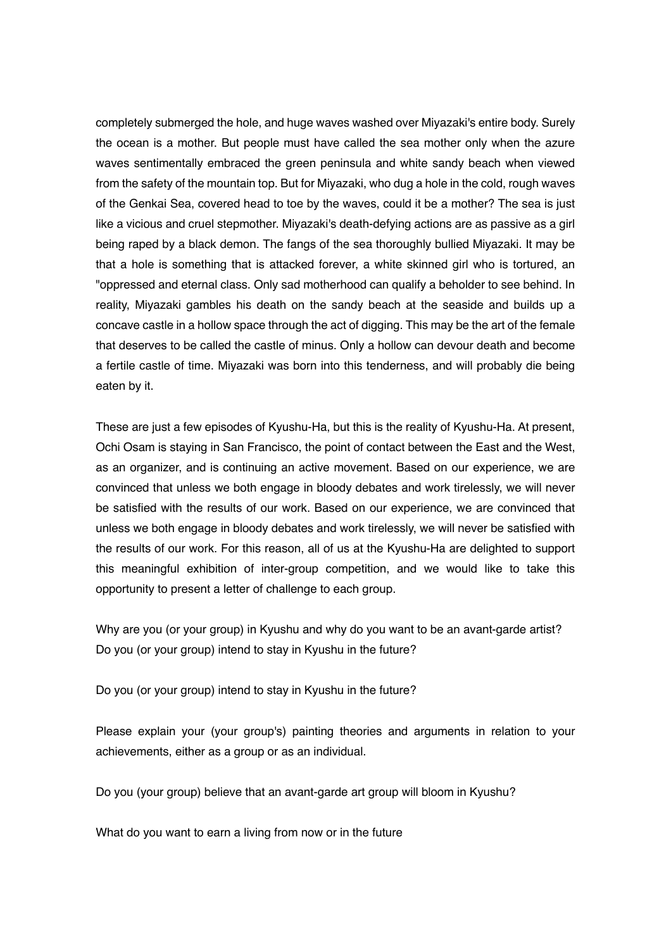completely submerged the hole, and huge waves washed over Miyazaki's entire body. Surely the ocean is a mother. But people must have called the sea mother only when the azure waves sentimentally embraced the green peninsula and white sandy beach when viewed from the safety of the mountain top. But for Miyazaki, who dug a hole in the cold, rough waves of the Genkai Sea, covered head to toe by the waves, could it be a mother? The sea is just like a vicious and cruel stepmother. Miyazaki's death-defying actions are as passive as a girl being raped by a black demon. The fangs of the sea thoroughly bullied Miyazaki. It may be that a hole is something that is attacked forever, a white skinned girl who is tortured, an "oppressed and eternal class. Only sad motherhood can qualify a beholder to see behind. In reality, Miyazaki gambles his death on the sandy beach at the seaside and builds up a concave castle in a hollow space through the act of digging. This may be the art of the female that deserves to be called the castle of minus. Only a hollow can devour death and become a fertile castle of time. Miyazaki was born into this tenderness, and will probably die being eaten by it.

These are just a few episodes of Kyushu-Ha, but this is the reality of Kyushu-Ha. At present, Ochi Osam is staying in San Francisco, the point of contact between the East and the West, as an organizer, and is continuing an active movement. Based on our experience, we are convinced that unless we both engage in bloody debates and work tirelessly, we will never be satisfied with the results of our work. Based on our experience, we are convinced that unless we both engage in bloody debates and work tirelessly, we will never be satisfied with the results of our work. For this reason, all of us at the Kyushu-Ha are delighted to support this meaningful exhibition of inter-group competition, and we would like to take this opportunity to present a letter of challenge to each group.

Why are you (or your group) in Kyushu and why do you want to be an avant-garde artist? Do you (or your group) intend to stay in Kyushu in the future?

Do you (or your group) intend to stay in Kyushu in the future?

Please explain your (your group's) painting theories and arguments in relation to your achievements, either as a group or as an individual.

Do you (your group) believe that an avant-garde art group will bloom in Kyushu?

What do you want to earn a living from now or in the future